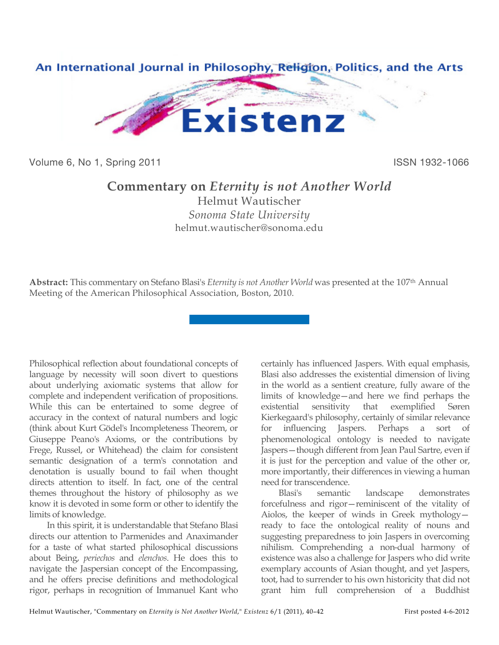

Volume 6, No 1, Spring 2011 **ISSN 1932-1066** 

## **Commentary on** *Eternity is not Another World*

Helmut Wautischer *Sonoma State University* helmut.wautischer@sonoma.edu

**Abstract:** This commentary on Stefano Blasi's *Eternity is not Another World* was presented at the 107th Annual Meeting of the American Philosophical Association, Boston, 2010.

Philosophical reflection about foundational concepts of language by necessity will soon divert to questions about underlying axiomatic systems that allow for complete and independent verification of propositions. While this can be entertained to some degree of accuracy in the context of natural numbers and logic (think about Kurt Gödel's Incompleteness Theorem, or Giuseppe Peano's Axioms, or the contributions by Frege, Russel, or Whitehead) the claim for consistent semantic designation of a term's connotation and denotation is usually bound to fail when thought directs attention to itself. In fact, one of the central themes throughout the history of philosophy as we know it is devoted in some form or other to identify the limits of knowledge.

In this spirit, it is understandable that Stefano Blasi directs our attention to Parmenides and Anaximander for a taste of what started philosophical discussions about Being, *periechos* and *elenchos*. He does this to navigate the Jaspersian concept of the Encompassing, and he offers precise definitions and methodological rigor, perhaps in recognition of Immanuel Kant who

certainly has influenced Jaspers. With equal emphasis, Blasi also addresses the existential dimension of living in the world as a sentient creature, fully aware of the limits of knowledge—and here we find perhaps the existential sensitivity that exemplified Søren Kierkegaard's philosophy, certainly of similar relevance for influencing Jaspers. Perhaps a sort of phenomenological ontology is needed to navigate Jaspers—though different from Jean Paul Sartre, even if it is just for the perception and value of the other or, more importantly, their differences in viewing a human need for transcendence.

Blasi's semantic landscape demonstrates forcefulness and rigor—reminiscent of the vitality of Aiolos, the keeper of winds in Greek mythology ready to face the ontological reality of nouns and suggesting preparedness to join Jaspers in overcoming nihilism. Comprehending a non-dual harmony of existence was also a challenge for Jaspers who did write exemplary accounts of Asian thought, and yet Jaspers, toot, had to surrender to his own historicity that did not grant him full comprehension of a Buddhist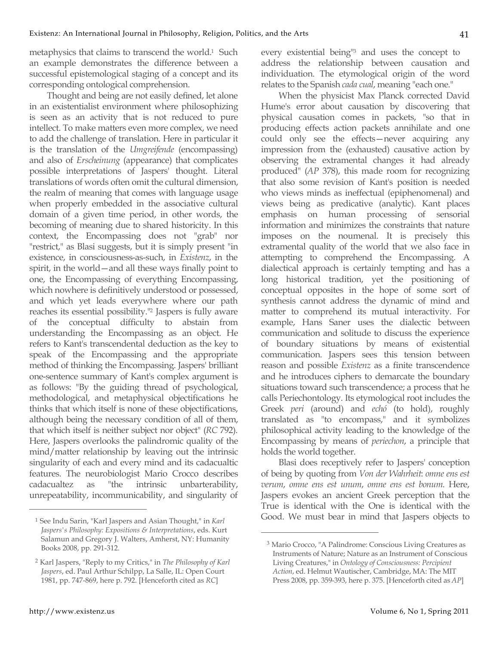metaphysics that claims to transcend the world.<sup>1</sup> Such an example demonstrates the difference between a successful epistemological staging of a concept and its corresponding ontological comprehension.

Thought and being are not easily defined, let alone in an existentialist environment where philosophizing is seen as an activity that is not reduced to pure intellect. To make matters even more complex, we need to add the challenge of translation. Here in particular it is the translation of the *Umgreifende* (encompassing) and also of *Erscheinung* (appearance) that complicates possible interpretations of Jaspers' thought. Literal translations of words often omit the cultural dimension, the realm of meaning that comes with language usage when properly embedded in the associative cultural domain of a given time period, in other words, the becoming of meaning due to shared historicity. In this context, the Encompassing does not "grab" nor "restrict," as Blasi suggests, but it is simply present "in existence, in consciousness-as-such, in *Existenz*, in the spirit, in the world—and all these ways finally point to one, the Encompassing of everything Encompassing, which nowhere is definitively understood or possessed, and which yet leads everywhere where our path reaches its essential possibility."2 Jaspers is fully aware of the conceptual difficulty to abstain from understanding the Encompassing as an object. He refers to Kant's transcendental deduction as the key to speak of the Encompassing and the appropriate method of thinking the Encompassing. Jaspers' brilliant one-sentence summary of Kant's complex argument is as follows: "By the guiding thread of psychological, methodological, and metaphysical objectifications he thinks that which itself is none of these objectifications, although being the necessary condition of all of them, that which itself is neither subject nor object" (*RC* 792). Here, Jaspers overlooks the palindromic quality of the mind/matter relationship by leaving out the intrinsic singularity of each and every mind and its cadacualtic features. The neurobiologist Mario Crocco describes cadacualtez as "the intrinsic unbarterability, unrepeatability, incommunicability, and singularity of every existential being<sup>13</sup> and uses the concept to address the relationship between causation and individuation. The etymological origin of the word relates to the Spanish *cada cual*, meaning "each one."

When the physicist Max Planck corrected David Hume's error about causation by discovering that physical causation comes in packets, "so that in producing effects action packets annihilate and one could only see the effects—never acquiring any impression from the (exhausted) causative action by observing the extramental changes it had already produced" (*AP* 378), this made room for recognizing that also some revision of Kant's position is needed who views minds as ineffectual (epiphenomenal) and views being as predicative (analytic). Kant places emphasis on human processing of sensorial information and minimizes the constraints that nature imposes on the noumenal. It is precisely this extramental quality of the world that we also face in attempting to comprehend the Encompassing. A dialectical approach is certainly tempting and has a long historical tradition, yet the positioning of conceptual opposites in the hope of some sort of synthesis cannot address the dynamic of mind and matter to comprehend its mutual interactivity. For example, Hans Saner uses the dialectic between communication and solitude to discuss the experience of boundary situations by means of existential communication. Jaspers sees this tension between reason and possible *Existenz* as a finite transcendence and he introduces ciphers to demarcate the boundary situations toward such transcendence; a process that he calls Periechontology. Its etymological root includes the Greek *peri* (around) and *echó* (to hold), roughly translated as "to encompass," and it symbolizes philosophical activity leading to the knowledge of the Encompassing by means of *periechon*, a principle that holds the world together.

Blasi does receptively refer to Jaspers' conception of being by quoting from *Von der Wahrheit*: *omne ens est verum*, *omne ens est unum*, *omne ens est bonum*. Here, Jaspers evokes an ancient Greek perception that the True is identical with the One is identical with the Good. We must bear in mind that Jaspers objects to

 $\overline{a}$ 

 $\overline{a}$ 

<sup>1</sup> See Indu Sarin, "Karl Jaspers and Asian Thought," in *Karl Jaspers's Philosophy: Expositions & Interpretations*, eds. Kurt Salamun and Gregory J. Walters, Amherst, NY: Humanity Books 2008, pp. 291-312.

<sup>2</sup> Karl Jaspers, "Reply to my Critics," in *The Philosophy of Karl Jaspers*, ed. Paul Arthur Schilpp, La Salle, IL: Open Court 1981, pp. 747-869, here p. 792. [Henceforth cited as *RC*]

<sup>3</sup> Mario Crocco, "A Palindrome: Conscious Living Creatures as Instruments of Nature; Nature as an Instrument of Conscious Living Creatures," in *Ontology of Consciousness: Percipient Action*, ed. Helmut Wautischer, Cambridge, MA: The MIT Press 2008, pp. 359-393, here p. 375. [Henceforth cited as *AP*]